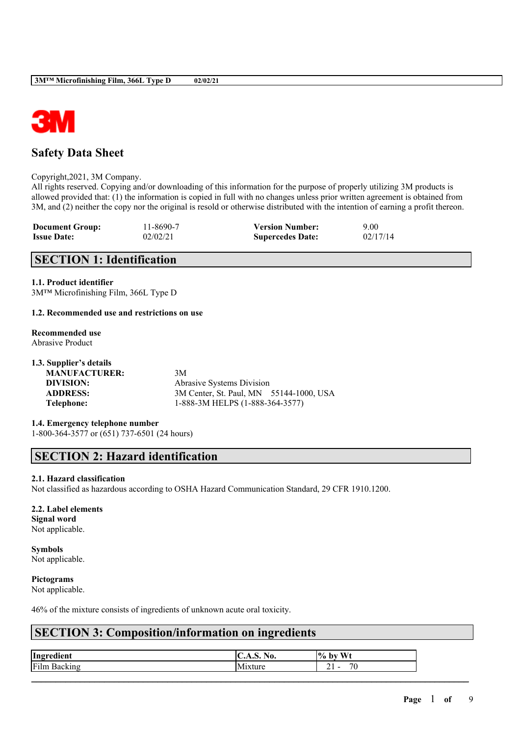

## **Safety Data Sheet**

### Copyright,2021, 3M Company.

All rights reserved. Copying and/or downloading of this information for the purpose of properly utilizing 3M products is allowed provided that: (1) the information is copied in full with no changes unless prior written agreement is obtained from 3M, and (2) neither the copy nor the original is resold or otherwise distributed with the intention of earning a profit thereon.

| <b>Document Group:</b> | 11-8690-7 | <b>Version Number:</b>  | 9.00     |
|------------------------|-----------|-------------------------|----------|
| <b>Issue Date:</b>     | 02/02/21  | <b>Supercedes Date:</b> | 02/17/14 |

## **SECTION 1: Identification**

### **1.1. Product identifier**

3M™ Microfinishing Film, 366L Type D

### **1.2. Recommended use and restrictions on use**

#### **Recommended use** Abrasive Product

### **1.3. Supplier's details**

| <b>MANUFACTURER:</b> | 3M                                      |
|----------------------|-----------------------------------------|
| DIVISION:            | <b>Abrasive Systems Division</b>        |
| <b>ADDRESS:</b>      | 3M Center, St. Paul, MN 55144-1000, USA |
| Telephone:           | 1-888-3M HELPS (1-888-364-3577)         |
|                      |                                         |

**1.4. Emergency telephone number** 1-800-364-3577 or (651) 737-6501 (24 hours)

## **SECTION 2: Hazard identification**

### **2.1. Hazard classification**

Not classified as hazardous according to OSHA Hazard Communication Standard, 29 CFR 1910.1200.

## **2.2. Label elements**

**Signal word** Not applicable.

**Symbols** Not applicable.

**Pictograms**

Not applicable.

46% of the mixture consists of ingredients of unknown acute oral toxicity.

## **SECTION 3: Composition/information on ingredients**

| Ingr<br>- -<br>la o vet | NL.<br>NU.<br><br>.<br>J. | <b>WWT</b><br>$\frac{10}{10}$<br>hx.<br>.                         |
|-------------------------|---------------------------|-------------------------------------------------------------------|
| Film<br>.<br>∍a         |                           | $\overline{\phantom{a}}$<br>$\overline{\phantom{a}}$<br>J.<br>- - |

 $\mathcal{L}_\mathcal{L} = \mathcal{L}_\mathcal{L} = \mathcal{L}_\mathcal{L} = \mathcal{L}_\mathcal{L} = \mathcal{L}_\mathcal{L} = \mathcal{L}_\mathcal{L} = \mathcal{L}_\mathcal{L} = \mathcal{L}_\mathcal{L} = \mathcal{L}_\mathcal{L} = \mathcal{L}_\mathcal{L} = \mathcal{L}_\mathcal{L} = \mathcal{L}_\mathcal{L} = \mathcal{L}_\mathcal{L} = \mathcal{L}_\mathcal{L} = \mathcal{L}_\mathcal{L} = \mathcal{L}_\mathcal{L} = \mathcal{L}_\mathcal{L}$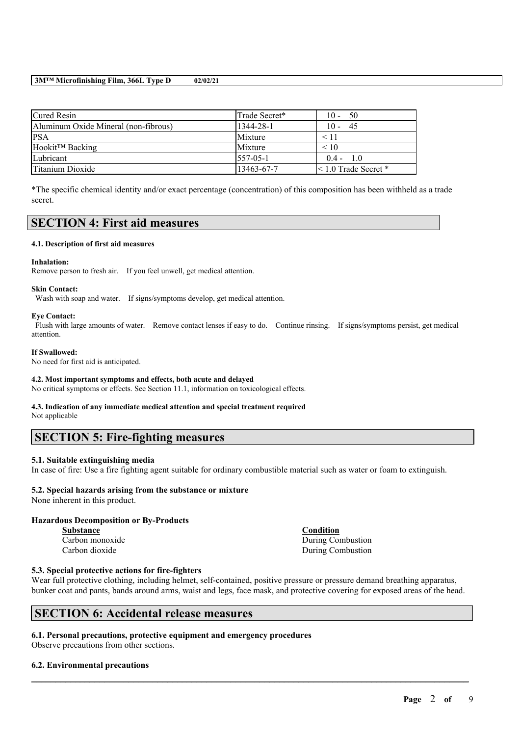| Cured Resin                          | Trade Secret*   | $10 - 50$                   |
|--------------------------------------|-----------------|-----------------------------|
| Aluminum Oxide Mineral (non-fibrous) | 1344-28-1       | $10 - 45$                   |
| <b>PSA</b>                           | Mixture         | < 11                        |
| Hookit <sup>™</sup> Backing          | Mixture         | < 10                        |
| Lubricant                            | $1557 - 05 - 1$ | $0.4 - 1.0$                 |
| Titanium Dioxide                     | 13463-67-7      | $\leq 1.0$ Trade Secret $*$ |

\*The specific chemical identity and/or exact percentage (concentration) of this composition has been withheld as a trade secret.

## **SECTION 4: First aid measures**

### **4.1. Description of first aid measures**

### **Inhalation:**

Remove person to fresh air. If you feel unwell, get medical attention.

### **Skin Contact:**

Wash with soap and water. If signs/symptoms develop, get medical attention.

### **Eye Contact:**

Flush with large amounts of water. Remove contact lenses if easy to do. Continue rinsing. If signs/symptoms persist, get medical attention.

#### **If Swallowed:**

No need for first aid is anticipated.

### **4.2. Most important symptoms and effects, both acute and delayed**

No critical symptoms or effects. See Section 11.1, information on toxicological effects.

# **4.3. Indication of any immediate medical attention and special treatment required**

Not applicable

## **SECTION 5: Fire-fighting measures**

### **5.1. Suitable extinguishing media**

In case of fire: Use a fire fighting agent suitable for ordinary combustible material such as water or foam to extinguish.

## **5.2. Special hazards arising from the substance or mixture**

None inherent in this product.

## **Hazardous Decomposition or By-Products**

**Substance Condition**

Carbon monoxide During Combustion Carbon dioxide During Combustion

### **5.3. Special protective actions for fire-fighters**

Wear full protective clothing, including helmet, self-contained, positive pressure or pressure demand breathing apparatus, bunker coat and pants, bands around arms, waist and legs, face mask, and protective covering for exposed areas of the head.

 $\mathcal{L}_\mathcal{L} = \mathcal{L}_\mathcal{L} = \mathcal{L}_\mathcal{L} = \mathcal{L}_\mathcal{L} = \mathcal{L}_\mathcal{L} = \mathcal{L}_\mathcal{L} = \mathcal{L}_\mathcal{L} = \mathcal{L}_\mathcal{L} = \mathcal{L}_\mathcal{L} = \mathcal{L}_\mathcal{L} = \mathcal{L}_\mathcal{L} = \mathcal{L}_\mathcal{L} = \mathcal{L}_\mathcal{L} = \mathcal{L}_\mathcal{L} = \mathcal{L}_\mathcal{L} = \mathcal{L}_\mathcal{L} = \mathcal{L}_\mathcal{L}$ 

## **SECTION 6: Accidental release measures**

## **6.1. Personal precautions, protective equipment and emergency procedures**

Observe precautions from other sections.

## **6.2. Environmental precautions**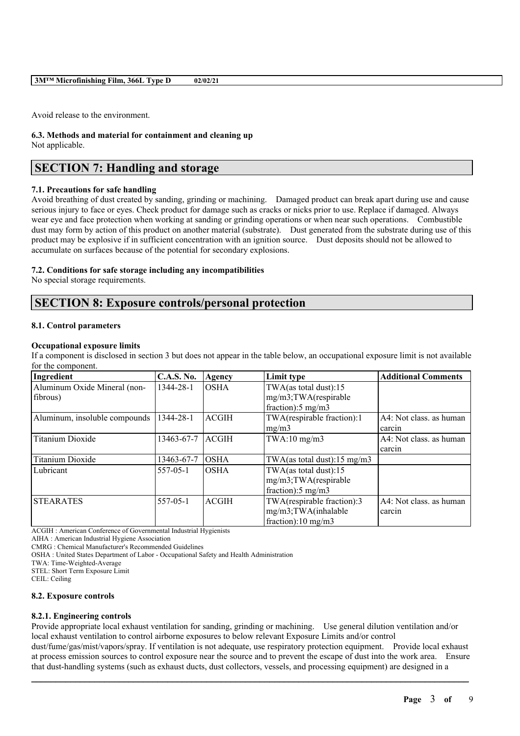Avoid release to the environment.

**6.3. Methods and material for containment and cleaning up** Not applicable.

## **SECTION 7: Handling and storage**

### **7.1. Precautions for safe handling**

Avoid breathing of dust created by sanding, grinding or machining. Damaged product can break apart during use and cause serious injury to face or eyes. Check product for damage such as cracks or nicks prior to use. Replace if damaged. Always wear eye and face protection when working at sanding or grinding operations or when near such operations. Combustible dust may form by action of this product on another material (substrate). Dust generated from the substrate during use of this product may be explosive if in sufficient concentration with an ignition source. Dust deposits should not be allowed to accumulate on surfaces because of the potential for secondary explosions.

### **7.2. Conditions for safe storage including any incompatibilities**

No special storage requirements.

## **SECTION 8: Exposure controls/personal protection**

### **8.1. Control parameters**

### **Occupational exposure limits**

If a component is disclosed in section 3 but does not appear in the table below, an occupational exposure limit is not available for the component.

| Ingredient                    | <b>C.A.S. No.</b> | Agency       | Limit type                    | <b>Additional Comments</b> |
|-------------------------------|-------------------|--------------|-------------------------------|----------------------------|
| Aluminum Oxide Mineral (non-  | 1344-28-1         | <b>OSHA</b>  | TWA(as total dust): $15$      |                            |
| fibrous)                      |                   |              | mg/m3;TWA(respirable          |                            |
|                               |                   |              | fraction): $5 \text{ mg/m}$ 3 |                            |
| Aluminum, insoluble compounds | 1344-28-1         | <b>ACGIH</b> | TWA(respirable fraction):1    | A4: Not class, as human    |
|                               |                   |              | mg/m3                         | carcin                     |
| Titanium Dioxide              | 13463-67-7        | <b>ACGIH</b> | $TWA:10$ mg/m $3$             | A4: Not class, as human    |
|                               |                   |              |                               | carcin                     |
| Titanium Dioxide              | 13463-67-7        | <b>OSHA</b>  | TWA(as total dust):15 mg/m3   |                            |
| Lubricant                     | $557 - 05 - 1$    | <b>OSHA</b>  | TWA(as total dust):15         |                            |
|                               |                   |              | mg/m3;TWA(respirable          |                            |
|                               |                   |              | fraction): $5 \text{ mg/m}$ 3 |                            |
| <b>STEARATES</b>              | $557 - 05 - 1$    | <b>ACGIH</b> | TWA(respirable fraction):3    | A4: Not class. as human    |
|                               |                   |              | mg/m3;TWA(inhalable           | carcin                     |
|                               |                   |              | fraction):10 mg/m3            |                            |

ACGIH : American Conference of Governmental Industrial Hygienists

AIHA : American Industrial Hygiene Association

CMRG : Chemical Manufacturer's Recommended Guidelines

OSHA : United States Department of Labor - Occupational Safety and Health Administration

TWA: Time-Weighted-Average

STEL: Short Term Exposure Limit

CEIL: Ceiling

### **8.2. Exposure controls**

### **8.2.1. Engineering controls**

Provide appropriate local exhaust ventilation for sanding, grinding or machining. Use general dilution ventilation and/or local exhaust ventilation to control airborne exposures to below relevant Exposure Limits and/or control

dust/fume/gas/mist/vapors/spray. If ventilation is not adequate, use respiratory protection equipment. Provide local exhaust at process emission sources to control exposure near the source and to prevent the escape of dust into the work area. Ensure that dust-handling systems (such as exhaust ducts, dust collectors, vessels, and processing equipment) are designed in a

 $\mathcal{L}_\mathcal{L} = \mathcal{L}_\mathcal{L} = \mathcal{L}_\mathcal{L} = \mathcal{L}_\mathcal{L} = \mathcal{L}_\mathcal{L} = \mathcal{L}_\mathcal{L} = \mathcal{L}_\mathcal{L} = \mathcal{L}_\mathcal{L} = \mathcal{L}_\mathcal{L} = \mathcal{L}_\mathcal{L} = \mathcal{L}_\mathcal{L} = \mathcal{L}_\mathcal{L} = \mathcal{L}_\mathcal{L} = \mathcal{L}_\mathcal{L} = \mathcal{L}_\mathcal{L} = \mathcal{L}_\mathcal{L} = \mathcal{L}_\mathcal{L}$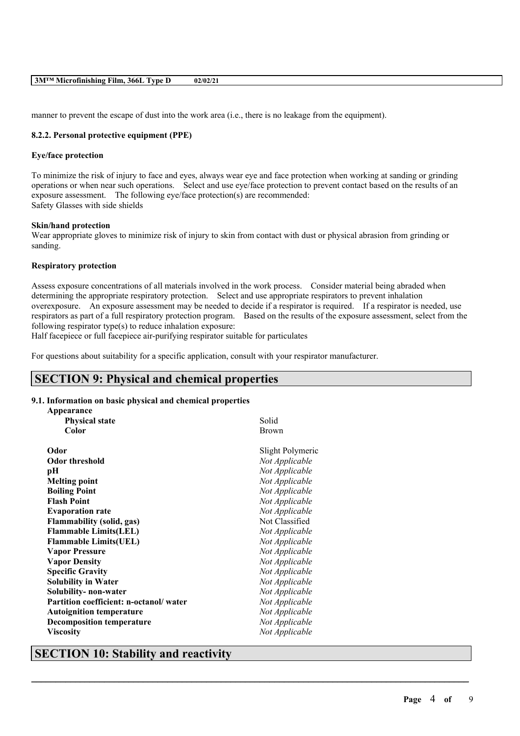manner to prevent the escape of dust into the work area (i.e., there is no leakage from the equipment).

## **8.2.2. Personal protective equipment (PPE)**

### **Eye/face protection**

To minimize the risk of injury to face and eyes, always wear eye and face protection when working at sanding or grinding operations or when near such operations. Select and use eye/face protection to prevent contact based on the results of an exposure assessment. The following eye/face protection(s) are recommended: Safety Glasses with side shields

### **Skin/hand protection**

Wear appropriate gloves to minimize risk of injury to skin from contact with dust or physical abrasion from grinding or sanding.

## **Respiratory protection**

Assess exposure concentrations of all materials involved in the work process. Consider material being abraded when determining the appropriate respiratory protection. Select and use appropriate respirators to prevent inhalation overexposure. An exposure assessment may be needed to decide if a respirator is required. If a respirator is needed, use respirators as part of a full respiratory protection program. Based on the results of the exposure assessment, select from the following respirator type(s) to reduce inhalation exposure:

 $\mathcal{L}_\mathcal{L} = \mathcal{L}_\mathcal{L} = \mathcal{L}_\mathcal{L} = \mathcal{L}_\mathcal{L} = \mathcal{L}_\mathcal{L} = \mathcal{L}_\mathcal{L} = \mathcal{L}_\mathcal{L} = \mathcal{L}_\mathcal{L} = \mathcal{L}_\mathcal{L} = \mathcal{L}_\mathcal{L} = \mathcal{L}_\mathcal{L} = \mathcal{L}_\mathcal{L} = \mathcal{L}_\mathcal{L} = \mathcal{L}_\mathcal{L} = \mathcal{L}_\mathcal{L} = \mathcal{L}_\mathcal{L} = \mathcal{L}_\mathcal{L}$ 

Half facepiece or full facepiece air-purifying respirator suitable for particulates

For questions about suitability for a specific application, consult with your respirator manufacturer.

## **SECTION 9: Physical and chemical properties**

## **9.1. Information on basic physical and chemical properties**

| Appearance                             |                  |
|----------------------------------------|------------------|
| <b>Physical state</b>                  | Solid            |
| Color                                  | <b>Brown</b>     |
| Odor                                   | Slight Polymeric |
| <b>Odor threshold</b>                  | Not Applicable   |
| рH                                     | Not Applicable   |
| <b>Melting point</b>                   | Not Applicable   |
| <b>Boiling Point</b>                   | Not Applicable   |
| <b>Flash Point</b>                     | Not Applicable   |
| <b>Evaporation rate</b>                | Not Applicable   |
| <b>Flammability (solid, gas)</b>       | Not Classified   |
| <b>Flammable Limits(LEL)</b>           | Not Applicable   |
| <b>Flammable Limits(UEL)</b>           | Not Applicable   |
| <b>Vapor Pressure</b>                  | Not Applicable   |
| <b>Vapor Density</b>                   | Not Applicable   |
| <b>Specific Gravity</b>                | Not Applicable   |
| <b>Solubility in Water</b>             | Not Applicable   |
| Solubility- non-water                  | Not Applicable   |
| Partition coefficient: n-octanol/water | Not Applicable   |
| <b>Autoignition temperature</b>        | Not Applicable   |
| <b>Decomposition temperature</b>       | Not Applicable   |
| <b>Viscosity</b>                       | Not Applicable   |

## **SECTION 10: Stability and reactivity**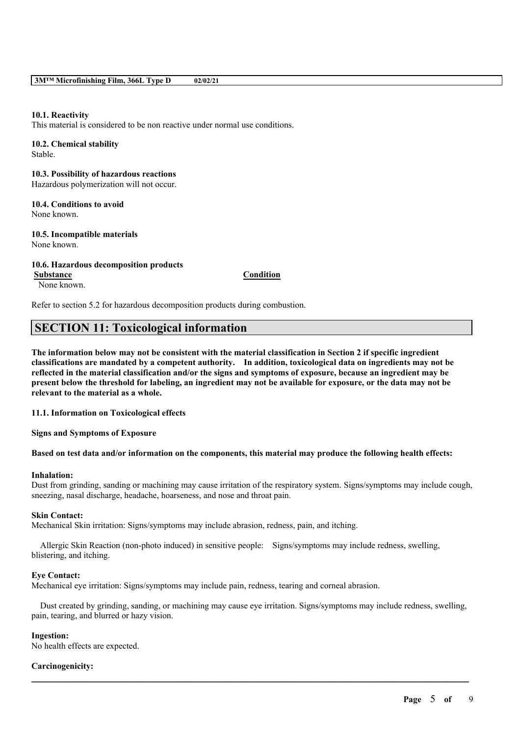### **10.1. Reactivity**

This material is considered to be non reactive under normal use conditions.

## **10.2. Chemical stability**

Stable.

**10.3. Possibility of hazardous reactions** Hazardous polymerization will not occur.

# **10.4. Conditions to avoid**

None known.

**10.5. Incompatible materials** None known.

## **10.6. Hazardous decomposition products**

None known.

**Substance Condition**

Refer to section 5.2 for hazardous decomposition products during combustion.

## **SECTION 11: Toxicological information**

The information below may not be consistent with the material classification in Section 2 if specific ingredient **classifications are mandated by a competent authority. In addition, toxicological data on ingredients may not be** reflected in the material classification and/or the signs and symptoms of exposure, because an ingredient may be present below the threshold for labeling, an ingredient may not be available for exposure, or the data may not be **relevant to the material as a whole.**

**11.1. Information on Toxicological effects**

**Signs and Symptoms of Exposure**

### Based on test data and/or information on the components, this material may produce the following health effects:

### **Inhalation:**

Dust from grinding, sanding or machining may cause irritation of the respiratory system. Signs/symptoms may include cough, sneezing, nasal discharge, headache, hoarseness, and nose and throat pain.

### **Skin Contact:**

Mechanical Skin irritation: Signs/symptoms may include abrasion, redness, pain, and itching.

Allergic Skin Reaction (non-photo induced) in sensitive people: Signs/symptoms may include redness, swelling, blistering, and itching.

### **Eye Contact:**

Mechanical eye irritation: Signs/symptoms may include pain, redness, tearing and corneal abrasion.

Dust created by grinding, sanding, or machining may cause eye irritation. Signs/symptoms may include redness, swelling, pain, tearing, and blurred or hazy vision.

 $\mathcal{L}_\mathcal{L} = \mathcal{L}_\mathcal{L} = \mathcal{L}_\mathcal{L} = \mathcal{L}_\mathcal{L} = \mathcal{L}_\mathcal{L} = \mathcal{L}_\mathcal{L} = \mathcal{L}_\mathcal{L} = \mathcal{L}_\mathcal{L} = \mathcal{L}_\mathcal{L} = \mathcal{L}_\mathcal{L} = \mathcal{L}_\mathcal{L} = \mathcal{L}_\mathcal{L} = \mathcal{L}_\mathcal{L} = \mathcal{L}_\mathcal{L} = \mathcal{L}_\mathcal{L} = \mathcal{L}_\mathcal{L} = \mathcal{L}_\mathcal{L}$ 

## **Ingestion:**

No health effects are expected.

## **Carcinogenicity:**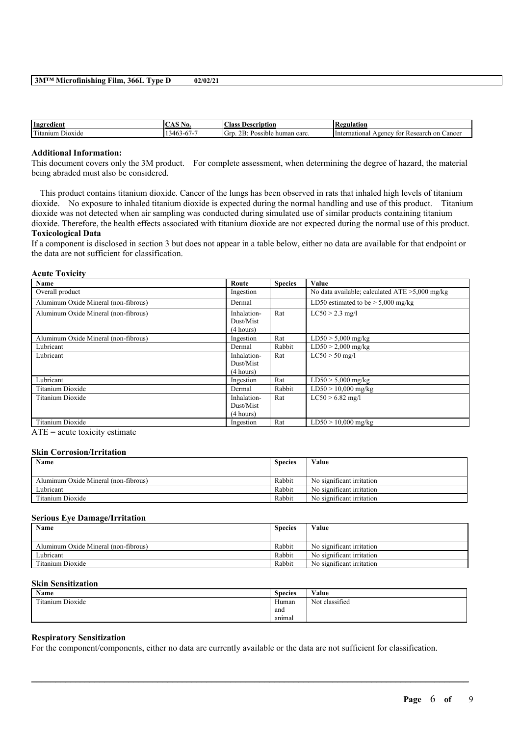| Ingredient                                  | NO.                           | <b>Class</b><br>Description                                     | tegulation.<br>IN.                                      |
|---------------------------------------------|-------------------------------|-----------------------------------------------------------------|---------------------------------------------------------|
| <b>CONTINUES</b><br>-<br>Dioxide<br>itanium | $140 -$<br>n 1 -<br>۰.<br>. י | $\sim$ $\sim$<br>н.<br>sible human carc.<br><b>GTT</b><br>ה יחש | ∠ancer<br>Research on<br>International<br>vgency<br>tor |

## **Additional Information:**

This document covers only the 3M product. For complete assessment, when determining the degree of hazard, the material being abraded must also be considered.

This product contains titanium dioxide. Cancer of the lungs has been observed in rats that inhaled high levels of titanium dioxide. No exposure to inhaled titanium dioxide is expected during the normal handling and use of this product. Titanium dioxide was not detected when air sampling was conducted during simulated use of similar products containing titanium dioxide. Therefore, the health effects associated with titanium dioxide are not expected during the normal use of this product. **Toxicological Data**

If a component is disclosed in section 3 but does not appear in a table below, either no data are available for that endpoint or the data are not sufficient for classification.

**Acute Toxicity**

| Name                                                                                                                                                                                                                                                                 | Route                                 | <b>Species</b> | Value                                             |
|----------------------------------------------------------------------------------------------------------------------------------------------------------------------------------------------------------------------------------------------------------------------|---------------------------------------|----------------|---------------------------------------------------|
| Overall product                                                                                                                                                                                                                                                      | Ingestion                             |                | No data available; calculated $ATE > 5,000$ mg/kg |
| Aluminum Oxide Mineral (non-fibrous)                                                                                                                                                                                                                                 | Dermal                                |                | LD50 estimated to be $> 5,000$ mg/kg              |
| Aluminum Oxide Mineral (non-fibrous)                                                                                                                                                                                                                                 | Inhalation-<br>Dust/Mist<br>(4 hours) | Rat            | $LC50 > 2.3$ mg/l                                 |
| Aluminum Oxide Mineral (non-fibrous)                                                                                                                                                                                                                                 | Ingestion                             | Rat            | $LD50 > 5,000$ mg/kg                              |
| Lubricant                                                                                                                                                                                                                                                            | Dermal                                | Rabbit         | $LD50 > 2,000$ mg/kg                              |
| Lubricant                                                                                                                                                                                                                                                            | Inhalation-<br>Dust/Mist<br>(4 hours) | Rat            | $LC50 > 50$ mg/l                                  |
| Lubricant                                                                                                                                                                                                                                                            | Ingestion                             | Rat            | $LD50 > 5,000$ mg/kg                              |
| Titanium Dioxide                                                                                                                                                                                                                                                     | Dermal                                | Rabbit         | $LD50 > 10,000$ mg/kg                             |
| Titanium Dioxide                                                                                                                                                                                                                                                     | Inhalation-<br>Dust/Mist<br>(4 hours) | Rat            | $LC50 > 6.82$ mg/l                                |
| Titanium Dioxide<br>state of the contract of the contract of the contract of the contract of the contract of the contract of the contract of the contract of the contract of the contract of the contract of the contract of the contract of the c<br>$\overline{1}$ | Ingestion                             | Rat            | $LD50 > 10,000$ mg/kg                             |

 $ATE = acute$  toxicity estimate

#### **Skin Corrosion/Irritation**

| Name                                 | <b>Species</b> | Value                     |
|--------------------------------------|----------------|---------------------------|
|                                      |                |                           |
| Aluminum Oxide Mineral (non-fibrous) | Rabbit         | No significant irritation |
| Lubricant                            | Rabbit         | No significant irritation |
| Titanium Dioxide                     | Rabbit         | No significant irritation |

#### **Serious Eye Damage/Irritation**

| Name                                 | <b>Species</b> | Value                     |
|--------------------------------------|----------------|---------------------------|
| Aluminum Oxide Mineral (non-fibrous) | Rabbit         | No significant irritation |
| Lubricant                            | Rabbit         | No significant irritation |
| Titanium Dioxide                     | Rabbit         | No significant irritation |

#### **Skin Sensitization**

| Name             | <b>Species</b> | Value          |
|------------------|----------------|----------------|
| Titanium Dioxide | Human          | Not classified |
|                  | and            |                |
|                  | anımal         |                |

 $\mathcal{L}_\mathcal{L} = \mathcal{L}_\mathcal{L} = \mathcal{L}_\mathcal{L} = \mathcal{L}_\mathcal{L} = \mathcal{L}_\mathcal{L} = \mathcal{L}_\mathcal{L} = \mathcal{L}_\mathcal{L} = \mathcal{L}_\mathcal{L} = \mathcal{L}_\mathcal{L} = \mathcal{L}_\mathcal{L} = \mathcal{L}_\mathcal{L} = \mathcal{L}_\mathcal{L} = \mathcal{L}_\mathcal{L} = \mathcal{L}_\mathcal{L} = \mathcal{L}_\mathcal{L} = \mathcal{L}_\mathcal{L} = \mathcal{L}_\mathcal{L}$ 

## **Respiratory Sensitization**

For the component/components, either no data are currently available or the data are not sufficient for classification.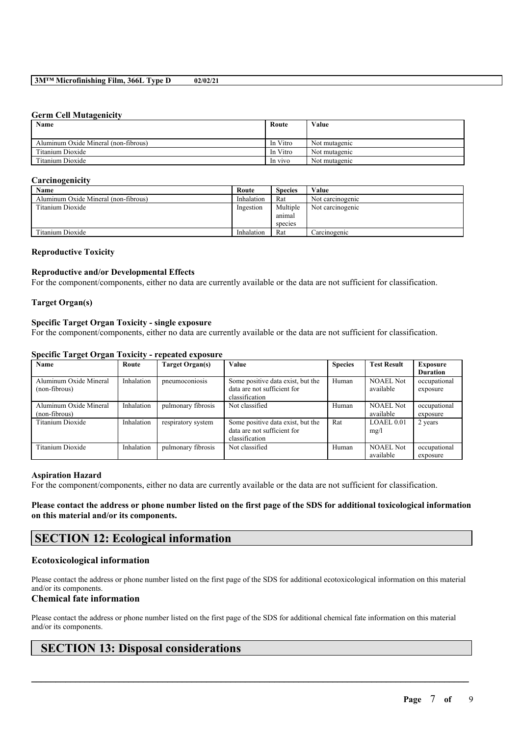### **Germ Cell Mutagenicity**

| Name                                 | Route    | Value         |
|--------------------------------------|----------|---------------|
|                                      |          |               |
| Aluminum Oxide Mineral (non-fibrous) | In Vitro | Not mutagenic |
| Titanium Dioxide                     | In Vitro | Not mutagenic |
| Titanium Dioxide                     | In vivo  | Not mutagenic |

### **Carcinogenicity**

| Name                                 | Route      | <b>Species</b> | Value            |
|--------------------------------------|------------|----------------|------------------|
| Aluminum Oxide Mineral (non-fibrous) | Inhalation | Rat            | Not carcinogenic |
| Titanium Dioxide                     | Ingestion  | Multiple       | Not carcinogenic |
|                                      |            | animal         |                  |
|                                      |            | species        |                  |
| Titanium Dioxide                     | Inhalation | Rat            | Carcinogenic     |

### **Reproductive Toxicity**

## **Reproductive and/or Developmental Effects**

For the component/components, either no data are currently available or the data are not sufficient for classification.

## **Target Organ(s)**

## **Specific Target Organ Toxicity - single exposure**

For the component/components, either no data are currently available or the data are not sufficient for classification.

| $\sim$<br>$\overline{\phantom{a}}$      |            |                    |                                                                                    |                |                               |                             |
|-----------------------------------------|------------|--------------------|------------------------------------------------------------------------------------|----------------|-------------------------------|-----------------------------|
| Name                                    | Route      | Target Organ(s)    | Value                                                                              | <b>Species</b> | <b>Test Result</b>            | Exposure<br><b>Duration</b> |
| Aluminum Oxide Mineral<br>(non-fibrous) | Inhalation | pneumoconiosis     | Some positive data exist, but the<br>data are not sufficient for<br>classification | Human          | <b>NOAEL Not</b><br>available | occupational<br>exposure    |
| Aluminum Oxide Mineral<br>(non-fibrous) | Inhalation | pulmonary fibrosis | Not classified                                                                     | Human          | <b>NOAEL Not</b><br>available | occupational<br>exposure    |
| Titanium Dioxide                        | Inhalation | respiratory system | Some positive data exist, but the<br>data are not sufficient for<br>classification | Rat            | LOAEL 0.01<br>mg/l            | 2 years                     |
| Titanium Dioxide                        | Inhalation | pulmonary fibrosis | Not classified                                                                     | Human          | <b>NOAEL Not</b><br>available | occupational<br>exposure    |

## **Specific Target Organ Toxicity - repeated exposure**

### **Aspiration Hazard**

For the component/components, either no data are currently available or the data are not sufficient for classification.

Please contact the address or phone number listed on the first page of the SDS for additional toxicological information **on this material and/or its components.**

## **SECTION 12: Ecological information**

## **Ecotoxicological information**

Please contact the address or phone number listed on the first page of the SDS for additional ecotoxicological information on this material and/or its components.

## **Chemical fate information**

Please contact the address or phone number listed on the first page of the SDS for additional chemical fate information on this material and/or its components.

 $\mathcal{L}_\mathcal{L} = \mathcal{L}_\mathcal{L} = \mathcal{L}_\mathcal{L} = \mathcal{L}_\mathcal{L} = \mathcal{L}_\mathcal{L} = \mathcal{L}_\mathcal{L} = \mathcal{L}_\mathcal{L} = \mathcal{L}_\mathcal{L} = \mathcal{L}_\mathcal{L} = \mathcal{L}_\mathcal{L} = \mathcal{L}_\mathcal{L} = \mathcal{L}_\mathcal{L} = \mathcal{L}_\mathcal{L} = \mathcal{L}_\mathcal{L} = \mathcal{L}_\mathcal{L} = \mathcal{L}_\mathcal{L} = \mathcal{L}_\mathcal{L}$ 

## **SECTION 13: Disposal considerations**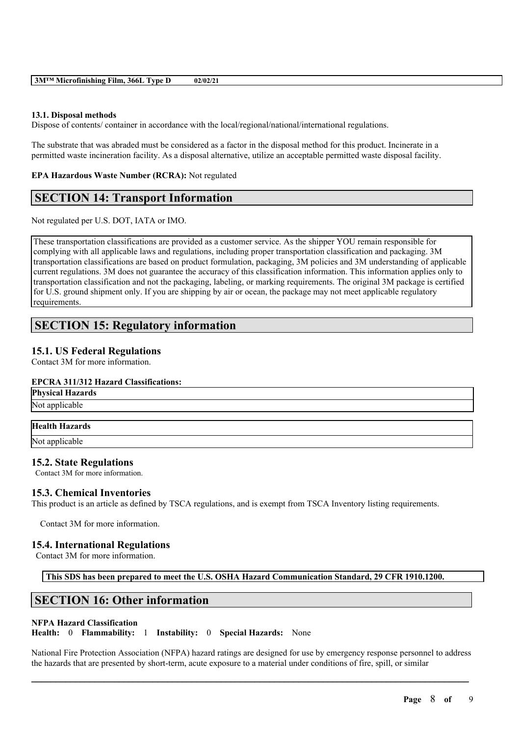| 3M™ Microfinishing Film, 366L Type D |  | 02/02/21 |
|--------------------------------------|--|----------|
|--------------------------------------|--|----------|

### **13.1. Disposal methods**

Dispose of contents/ container in accordance with the local/regional/national/international regulations.

The substrate that was abraded must be considered as a factor in the disposal method for this product. Incinerate in a permitted waste incineration facility. As a disposal alternative, utilize an acceptable permitted waste disposal facility.

### **EPA Hazardous Waste Number (RCRA):** Not regulated

## **SECTION 14: Transport Information**

Not regulated per U.S. DOT, IATA or IMO.

These transportation classifications are provided as a customer service. As the shipper YOU remain responsible for complying with all applicable laws and regulations, including proper transportation classification and packaging. 3M transportation classifications are based on product formulation, packaging, 3M policies and 3M understanding of applicable current regulations. 3M does not guarantee the accuracy of this classification information. This information applies only to transportation classification and not the packaging, labeling, or marking requirements. The original 3M package is certified for U.S. ground shipment only. If you are shipping by air or ocean, the package may not meet applicable regulatory requirements.

## **SECTION 15: Regulatory information**

## **15.1. US Federal Regulations**

Contact 3M for more information.

### **EPCRA 311/312 Hazard Classifications:**

**Physical Hazards**

Not applicable

**Health Hazards**

Not applicable

## **15.2. State Regulations**

Contact 3M for more information.

## **15.3. Chemical Inventories**

This product is an article as defined by TSCA regulations, and is exempt from TSCA Inventory listing requirements.

Contact 3M for more information.

## **15.4. International Regulations**

Contact 3M for more information.

**This SDS has been prepared to meet the U.S. OSHA Hazard Communication Standard, 29 CFR 1910.1200.**

## **SECTION 16: Other information**

### **NFPA Hazard Classification**

**Health:** 0 **Flammability:** 1 **Instability:** 0 **Special Hazards:** None

National Fire Protection Association (NFPA) hazard ratings are designed for use by emergency response personnel to address the hazards that are presented by short-term, acute exposure to a material under conditions of fire, spill, or similar

 $\mathcal{L}_\mathcal{L} = \mathcal{L}_\mathcal{L} = \mathcal{L}_\mathcal{L} = \mathcal{L}_\mathcal{L} = \mathcal{L}_\mathcal{L} = \mathcal{L}_\mathcal{L} = \mathcal{L}_\mathcal{L} = \mathcal{L}_\mathcal{L} = \mathcal{L}_\mathcal{L} = \mathcal{L}_\mathcal{L} = \mathcal{L}_\mathcal{L} = \mathcal{L}_\mathcal{L} = \mathcal{L}_\mathcal{L} = \mathcal{L}_\mathcal{L} = \mathcal{L}_\mathcal{L} = \mathcal{L}_\mathcal{L} = \mathcal{L}_\mathcal{L}$